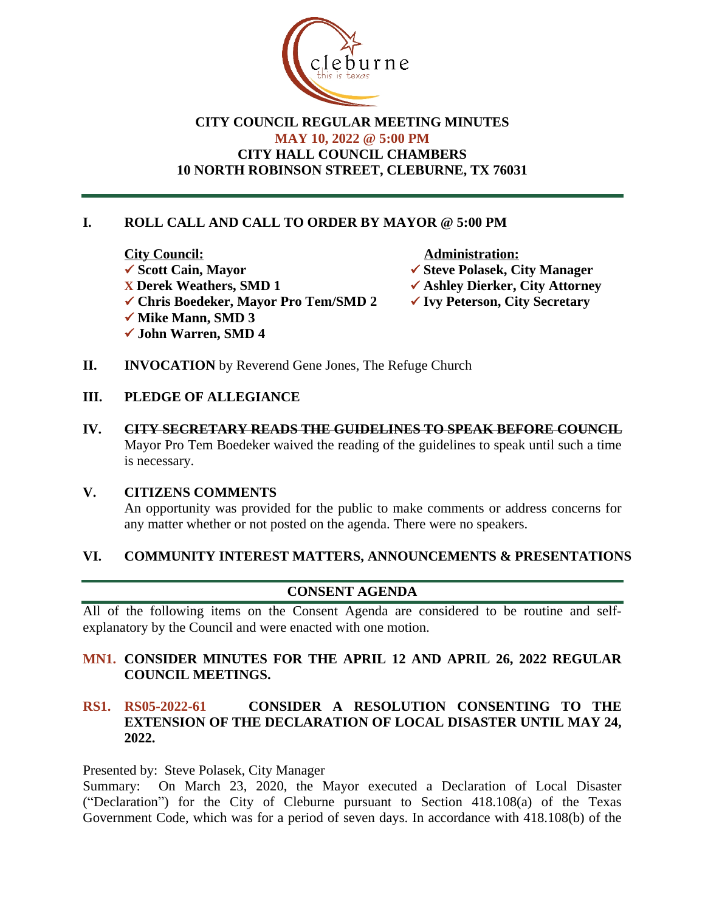

## **CITY COUNCIL REGULAR MEETING MINUTES MAY 10, 2022 @ 5:00 PM CITY HALL COUNCIL CHAMBERS 10 NORTH ROBINSON STREET, CLEBURNE, TX 76031**

## **I. ROLL CALL AND CALL TO ORDER BY MAYOR @ 5:00 PM**

**City Council:** Administration: <table>\n<tbody>\n<tr>\n<th>✓ Scott Cain, Mayor</th>\n<th>✓ Steve Polasek, City Manager</th>\n</tr>\n<tr>\n<th>✓ Derek Weathers, SMD 1</th>\n<th>✓ Ashlev Dierker, City Attorne</th>\n</tr>\n</tbody>\n</table> **✓ Chris Boedeker, Mayor Pro Tem/SMD 2 ✓ Mike Mann, SMD 3** ü **John Warren, SMD 4**

- 
- **<del>√</del> Ashley Dierker, City Attorney<br>◆ Ivy Peterson, City Secretary**
- 
- **II. INVOCATION** by Reverend Gene Jones, The Refuge Church

#### **III. PLEDGE OF ALLEGIANCE**

**IV. CITY SECRETARY READS THE GUIDELINES TO SPEAK BEFORE COUNCIL** Mayor Pro Tem Boedeker waived the reading of the guidelines to speak until such a time is necessary.

#### **V. CITIZENS COMMENTS**

An opportunity was provided for the public to make comments or address concerns for any matter whether or not posted on the agenda. There were no speakers.

#### **VI. COMMUNITY INTEREST MATTERS, ANNOUNCEMENTS & PRESENTATIONS**

#### **CONSENT AGENDA**

All of the following items on the Consent Agenda are considered to be routine and selfexplanatory by the Council and were enacted with one motion.

### **MN1. CONSIDER MINUTES FOR THE APRIL 12 AND APRIL 26, 2022 REGULAR COUNCIL MEETINGS.**

## **RS1. RS05-2022-61 CONSIDER A RESOLUTION CONSENTING TO THE EXTENSION OF THE DECLARATION OF LOCAL DISASTER UNTIL MAY 24, 2022.**

Presented by: Steve Polasek, City Manager

Summary: On March 23, 2020, the Mayor executed a Declaration of Local Disaster ("Declaration") for the City of Cleburne pursuant to Section 418.108(a) of the Texas Government Code, which was for a period of seven days. In accordance with 418.108(b) of the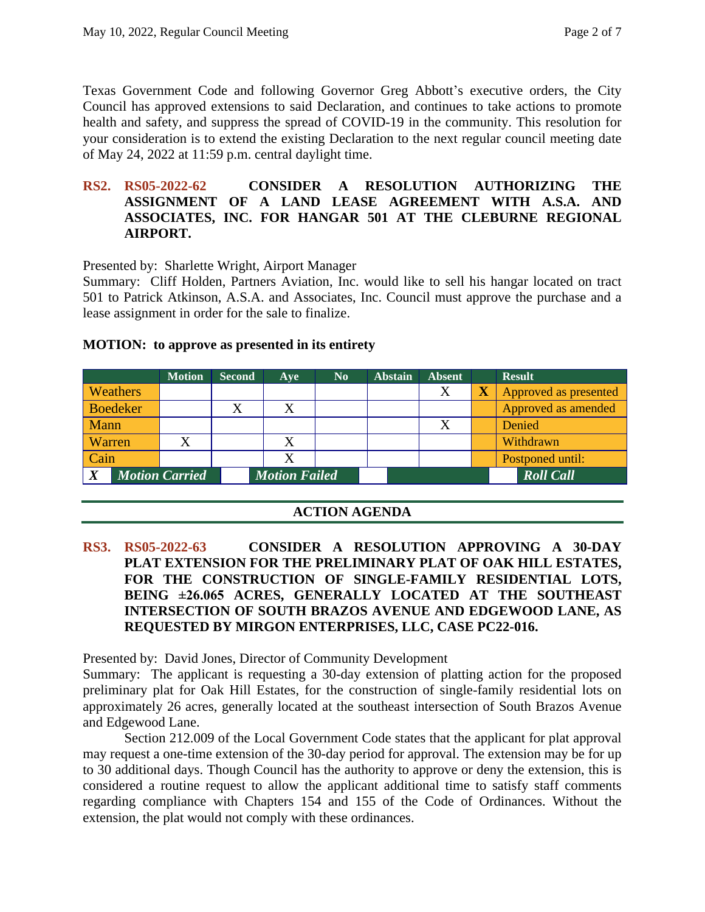Texas Government Code and following Governor Greg Abbott's executive orders, the City Council has approved extensions to said Declaration, and continues to take actions to promote health and safety, and suppress the spread of COVID-19 in the community. This resolution for your consideration is to extend the existing Declaration to the next regular council meeting date of May 24, 2022 at 11:59 p.m. central daylight time.

#### **RS2. RS05-2022-62 CONSIDER A RESOLUTION AUTHORIZING THE ASSIGNMENT OF A LAND LEASE AGREEMENT WITH A.S.A. AND ASSOCIATES, INC. FOR HANGAR 501 AT THE CLEBURNE REGIONAL AIRPORT.**

Presented by: Sharlette Wright, Airport Manager

Summary: Cliff Holden, Partners Aviation, Inc. would like to sell his hangar located on tract 501 to Patrick Atkinson, A.S.A. and Associates, Inc. Council must approve the purchase and a lease assignment in order for the sale to finalize.

|                            | <b>Motion</b> | <b>Second</b> | Aye                  | N <sub>0</sub> | <b>Abstain</b> | <b>Absent</b> |                         | <b>Result</b>         |
|----------------------------|---------------|---------------|----------------------|----------------|----------------|---------------|-------------------------|-----------------------|
| <b>Weathers</b>            |               |               |                      |                |                | X             | $\overline{\textbf{X}}$ | Approved as presented |
| <b>Boedeker</b>            |               |               | X                    |                |                |               |                         | Approved as amended   |
| Mann                       |               |               |                      |                |                |               |                         | Denied                |
| Warren                     |               |               | X                    |                |                |               |                         | Withdrawn             |
| Cain                       |               |               | X                    |                |                |               |                         | Postponed until:      |
| X<br><b>Motion Carried</b> |               |               | <b>Motion Failed</b> |                |                |               |                         | <b>Roll Call</b>      |

## **ACTION AGENDA**

**RS3. RS05-2022-63 CONSIDER A RESOLUTION APPROVING A 30-DAY PLAT EXTENSION FOR THE PRELIMINARY PLAT OF OAK HILL ESTATES, FOR THE CONSTRUCTION OF SINGLE-FAMILY RESIDENTIAL LOTS, BEING ±26.065 ACRES, GENERALLY LOCATED AT THE SOUTHEAST INTERSECTION OF SOUTH BRAZOS AVENUE AND EDGEWOOD LANE, AS REQUESTED BY MIRGON ENTERPRISES, LLC, CASE PC22-016.**

Presented by: David Jones, Director of Community Development

Summary: The applicant is requesting a 30-day extension of platting action for the proposed preliminary plat for Oak Hill Estates, for the construction of single-family residential lots on approximately 26 acres, generally located at the southeast intersection of South Brazos Avenue and Edgewood Lane.

Section 212.009 of the Local Government Code states that the applicant for plat approval may request a one-time extension of the 30-day period for approval. The extension may be for up to 30 additional days. Though Council has the authority to approve or deny the extension, this is considered a routine request to allow the applicant additional time to satisfy staff comments regarding compliance with Chapters 154 and 155 of the Code of Ordinances. Without the extension, the plat would not comply with these ordinances.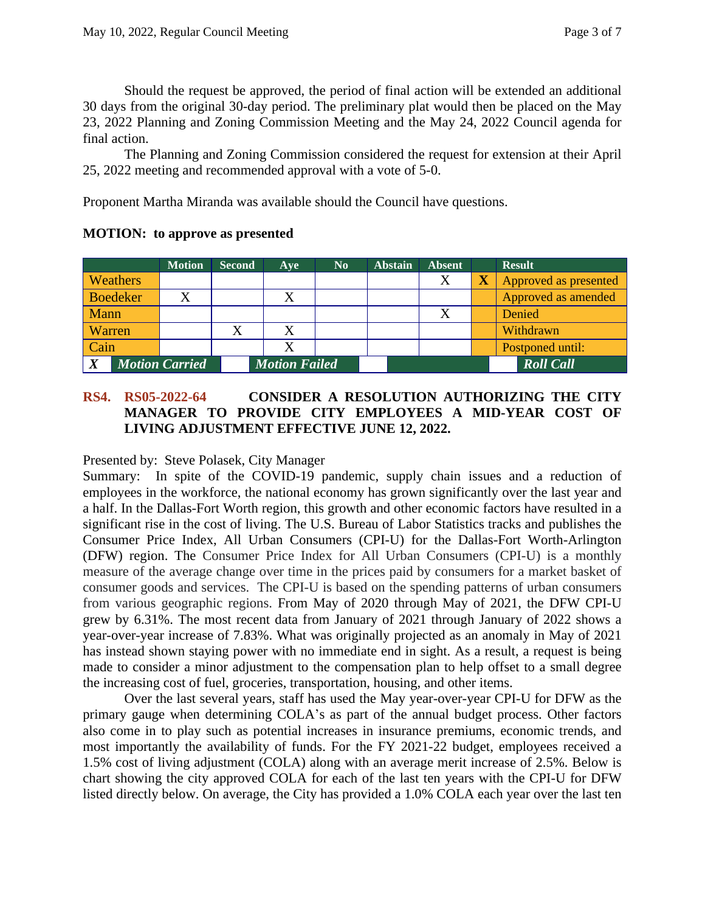Should the request be approved, the period of final action will be extended an additional 30 days from the original 30-day period. The preliminary plat would then be placed on the May 23, 2022 Planning and Zoning Commission Meeting and the May 24, 2022 Council agenda for final action.

The Planning and Zoning Commission considered the request for extension at their April 25, 2022 meeting and recommended approval with a vote of 5-0.

Proponent Martha Miranda was available should the Council have questions.

|              |                       | <b>Motion</b> | <b>Second</b> | Ave                  | $\bf No$ | <b>Abstain</b> | <b>Absent</b> | <b>Result</b>         |  |
|--------------|-----------------------|---------------|---------------|----------------------|----------|----------------|---------------|-----------------------|--|
|              | <b>Weathers</b>       |               |               |                      |          |                | Χ             | Approved as presented |  |
|              | <b>Boedeker</b>       |               |               |                      |          |                |               | Approved as amended   |  |
| Mann         |                       |               |               |                      |          |                |               | Denied                |  |
| Warren       |                       |               |               | X                    |          |                |               | Withdrawn             |  |
| Cain         |                       |               |               |                      |          |                |               | Postponed until:      |  |
| $\mathbf{V}$ | <b>Motion Carried</b> |               |               | <b>Motion Failed</b> |          |                |               | <b>Roll Call</b>      |  |

### **MOTION: to approve as presented**

## **RS4. RS05-2022-64 CONSIDER A RESOLUTION AUTHORIZING THE CITY MANAGER TO PROVIDE CITY EMPLOYEES A MID-YEAR COST OF LIVING ADJUSTMENT EFFECTIVE JUNE 12, 2022.**

Presented by: Steve Polasek, City Manager

Summary: In spite of the COVID-19 pandemic, supply chain issues and a reduction of employees in the workforce, the national economy has grown significantly over the last year and a half. In the Dallas-Fort Worth region, this growth and other economic factors have resulted in a significant rise in the cost of living. The U.S. Bureau of Labor Statistics tracks and publishes the Consumer Price Index, All Urban Consumers (CPI-U) for the Dallas-Fort Worth-Arlington (DFW) region. The Consumer Price Index for All Urban Consumers (CPI-U) is a monthly measure of the average change over time in the prices paid by consumers for a market basket of consumer goods and services. The CPI-U is based on the spending patterns of urban consumers from various geographic regions. From May of 2020 through May of 2021, the DFW CPI-U grew by 6.31%. The most recent data from January of 2021 through January of 2022 shows a year-over-year increase of 7.83%. What was originally projected as an anomaly in May of 2021 has instead shown staying power with no immediate end in sight. As a result, a request is being made to consider a minor adjustment to the compensation plan to help offset to a small degree the increasing cost of fuel, groceries, transportation, housing, and other items.

Over the last several years, staff has used the May year-over-year CPI-U for DFW as the primary gauge when determining COLA's as part of the annual budget process. Other factors also come in to play such as potential increases in insurance premiums, economic trends, and most importantly the availability of funds. For the FY 2021-22 budget, employees received a 1.5% cost of living adjustment (COLA) along with an average merit increase of 2.5%. Below is chart showing the city approved COLA for each of the last ten years with the CPI-U for DFW listed directly below. On average, the City has provided a 1.0% COLA each year over the last ten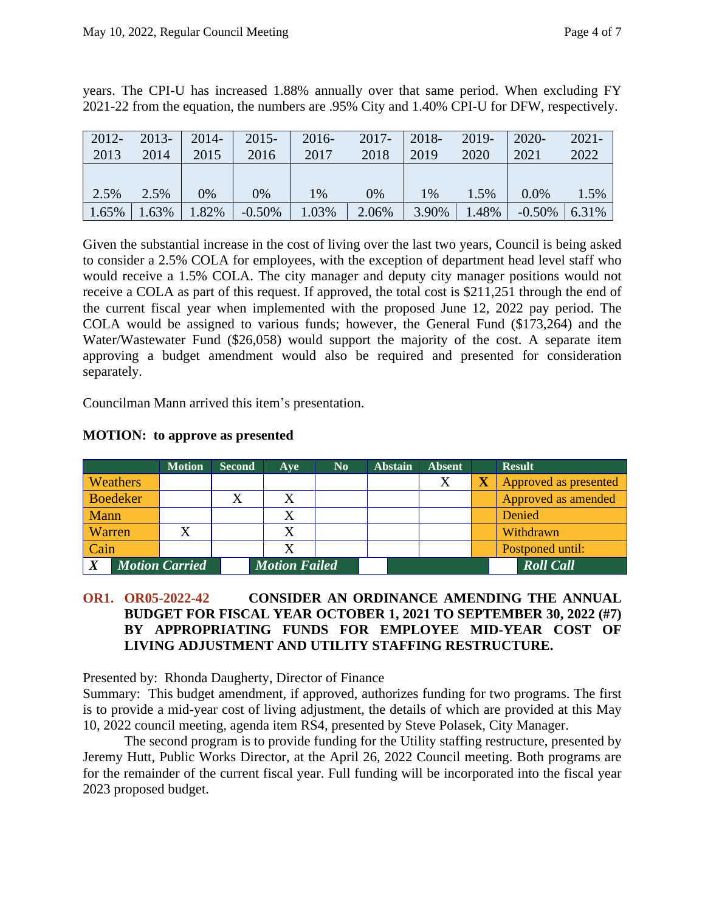| $2012 -$ | $2013-$ | $2014 -$ | $2015 -$ | $2016 -$ | $2017 -$ | 2018- | $2019 -$ | $2020 -$  | $2021 -$ |
|----------|---------|----------|----------|----------|----------|-------|----------|-----------|----------|
| 2013     | 2014    | 2015     | 2016     | 2017     | 2018     | 2019  | 2020     | 2021      | 2022     |
|          |         |          |          |          |          |       |          |           |          |
| 2.5%     | 2.5%    | $0\%$    | 0%       | 1%       | 0%       | $1\%$ | 1.5%     | $0.0\%$   | 1.5%     |
| 1.65%    | 1.63%   | .82%     | $-0.50%$ | 1.03%    | 2.06%    | 3.90% | .48%     | $-0.50\%$ | 6.31%    |

years. The CPI-U has increased 1.88% annually over that same period. When excluding FY 2021-22 from the equation, the numbers are .95% City and 1.40% CPI-U for DFW, respectively.

Given the substantial increase in the cost of living over the last two years, Council is being asked to consider a 2.5% COLA for employees, with the exception of department head level staff who would receive a 1.5% COLA. The city manager and deputy city manager positions would not receive a COLA as part of this request. If approved, the total cost is \$211,251 through the end of the current fiscal year when implemented with the proposed June 12, 2022 pay period. The COLA would be assigned to various funds; however, the General Fund (\$173,264) and the Water/Wastewater Fund (\$26,058) would support the majority of the cost. A separate item approving a budget amendment would also be required and presented for consideration separately.

Councilman Mann arrived this item's presentation.

|                                           |                 | <b>Motion</b> | <b>Second</b>        | Ave | $\bf No$ | <b>Abstain</b> | <b>Absent</b>    | <b>Result</b>         |
|-------------------------------------------|-----------------|---------------|----------------------|-----|----------|----------------|------------------|-----------------------|
|                                           | <b>Weathers</b> |               |                      |     |          |                | X                | Approved as presented |
|                                           | Boedeker        |               |                      | X   |          |                |                  | Approved as amended   |
| Mann                                      |                 |               |                      | X   |          |                |                  | Denied                |
|                                           | Warren          |               |                      | X   |          |                |                  | Withdrawn             |
| Cain                                      |                 |               |                      | X   |          |                |                  | Postponed until:      |
| $\boldsymbol{X}$<br><b>Motion Carried</b> |                 |               | <b>Motion Failed</b> |     |          |                | <b>Roll Call</b> |                       |

## **MOTION: to approve as presented**

### **OR1. OR05-2022-42 CONSIDER AN ORDINANCE AMENDING THE ANNUAL BUDGET FOR FISCAL YEAR OCTOBER 1, 2021 TO SEPTEMBER 30, 2022 (#7) BY APPROPRIATING FUNDS FOR EMPLOYEE MID-YEAR COST OF LIVING ADJUSTMENT AND UTILITY STAFFING RESTRUCTURE.**

Presented by: Rhonda Daugherty, Director of Finance

Summary: This budget amendment, if approved, authorizes funding for two programs. The first is to provide a mid-year cost of living adjustment, the details of which are provided at this May 10, 2022 council meeting, agenda item RS4, presented by Steve Polasek, City Manager.

The second program is to provide funding for the Utility staffing restructure, presented by Jeremy Hutt, Public Works Director, at the April 26, 2022 Council meeting. Both programs are for the remainder of the current fiscal year. Full funding will be incorporated into the fiscal year 2023 proposed budget.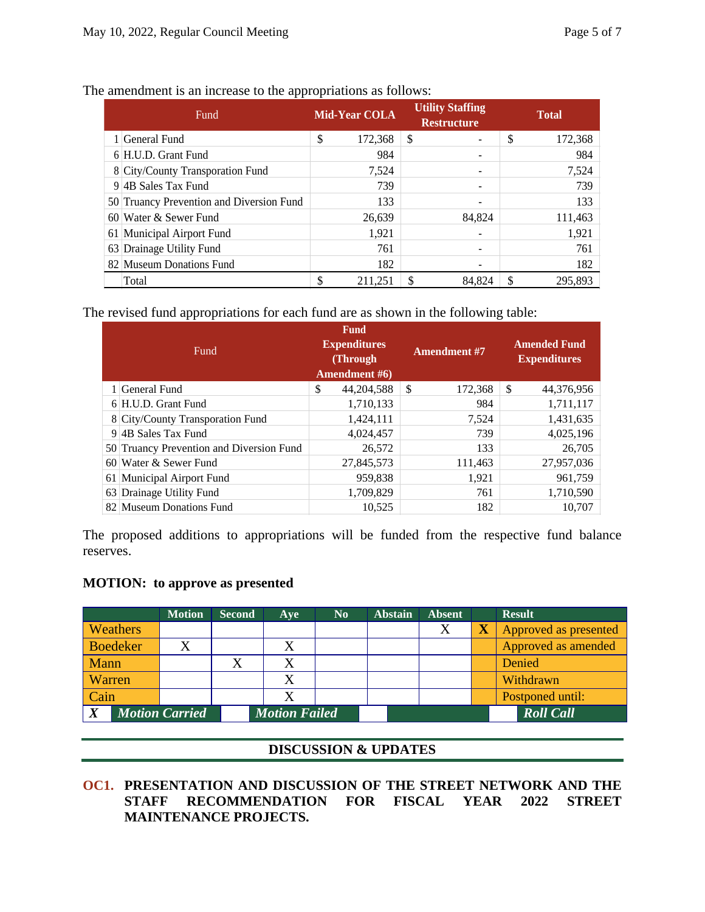| <b>Fund</b> |                                          |       | <b>Mid-Year COLA</b> |    | <b>Utility Staffing</b><br><b>Restructure</b> | <b>Total</b> |         |  |
|-------------|------------------------------------------|-------|----------------------|----|-----------------------------------------------|--------------|---------|--|
|             | 1 General Fund                           | \$    | 172,368              | \$ |                                               | \$           | 172,368 |  |
|             | 6 H.U.D. Grant Fund                      |       | 984                  |    |                                               |              | 984     |  |
|             | 8 City/County Transporation Fund         | 7,524 |                      |    |                                               |              | 7,524   |  |
|             | 9 4B Sales Tax Fund                      |       | 739                  |    |                                               |              | 739     |  |
|             | 50 Truancy Prevention and Diversion Fund |       | 133                  |    |                                               |              | 133     |  |
|             | $60$ Water & Sewer Fund                  |       | 26,639               |    | 84,824                                        |              | 111,463 |  |
|             | 61 Municipal Airport Fund                |       | 1,921                |    |                                               |              | 1,921   |  |
|             | 63 Drainage Utility Fund                 |       | 761                  |    |                                               |              | 761     |  |
|             | 82 Museum Donations Fund                 |       | 182                  |    |                                               |              | 182     |  |
|             | Total                                    | \$    | 211,251              | \$ | 84.824                                        |              | 295,893 |  |

The amendment is an increase to the appropriations as follows:

The revised fund appropriations for each fund are as shown in the following table:

|    | Fund                                     | <b>Fund</b><br><b>Expenditures</b><br>(Through)<br>Amendment #6) |            |               | <b>Amendment #7</b> | <b>Amended Fund</b><br><b>Expenditures</b> |            |  |
|----|------------------------------------------|------------------------------------------------------------------|------------|---------------|---------------------|--------------------------------------------|------------|--|
|    | 1 General Fund                           | \$                                                               | 44,204,588 | <sup>\$</sup> | 172,368             | \$                                         | 44,376,956 |  |
|    | 6 H.U.D. Grant Fund                      |                                                                  | 1,710,133  |               | 984                 |                                            | 1,711,117  |  |
|    | 8 City/County Transporation Fund         |                                                                  | 1,424,111  |               | 7,524               |                                            | 1,431,635  |  |
|    | 9 4B Sales Tax Fund                      |                                                                  | 4,024,457  |               | 739                 |                                            | 4,025,196  |  |
|    | 50 Truancy Prevention and Diversion Fund |                                                                  | 26,572     |               | 133                 |                                            | 26,705     |  |
|    | 60 Water & Sewer Fund                    |                                                                  | 27,845,573 |               | 111,463             |                                            | 27,957,036 |  |
| 61 | Municipal Airport Fund                   |                                                                  | 959,838    |               | 1,921               |                                            | 961.759    |  |
|    | 63 Drainage Utility Fund                 |                                                                  | 1,709,829  |               | 761                 |                                            | 1,710,590  |  |
|    | 82 Museum Donations Fund                 |                                                                  | 10.525     |               | 182                 |                                            | 10.707     |  |

The proposed additions to appropriations will be funded from the respective fund balance reserves.

#### **MOTION: to approve as presented**

|                                           | <b>Motion</b> | <b>Second</b> | Ave                  | $\mathbf{N}\mathbf{0}$ | <b>Abstain</b> | <b>Absent</b> | <b>Result</b>         |
|-------------------------------------------|---------------|---------------|----------------------|------------------------|----------------|---------------|-----------------------|
| <b>Weathers</b>                           |               |               |                      |                        |                | X             | Approved as presented |
| <b>Boedeker</b>                           | X             |               |                      |                        |                |               | Approved as amended   |
| Mann                                      |               |               | Χ                    |                        |                |               | Denied                |
| Warren                                    |               |               |                      |                        |                |               | Withdrawn             |
| Cain                                      |               |               | Χ                    |                        |                |               | Postponed until:      |
| <b>Motion Carried</b><br>$\boldsymbol{X}$ |               |               | <b>Motion Failed</b> |                        |                |               | <b>Roll Call</b>      |

#### **DISCUSSION & UPDATES**

**OC1. PRESENTATION AND DISCUSSION OF THE STREET NETWORK AND THE STAFF RECOMMENDATION FOR FISCAL YEAR 2022 STREET MAINTENANCE PROJECTS.**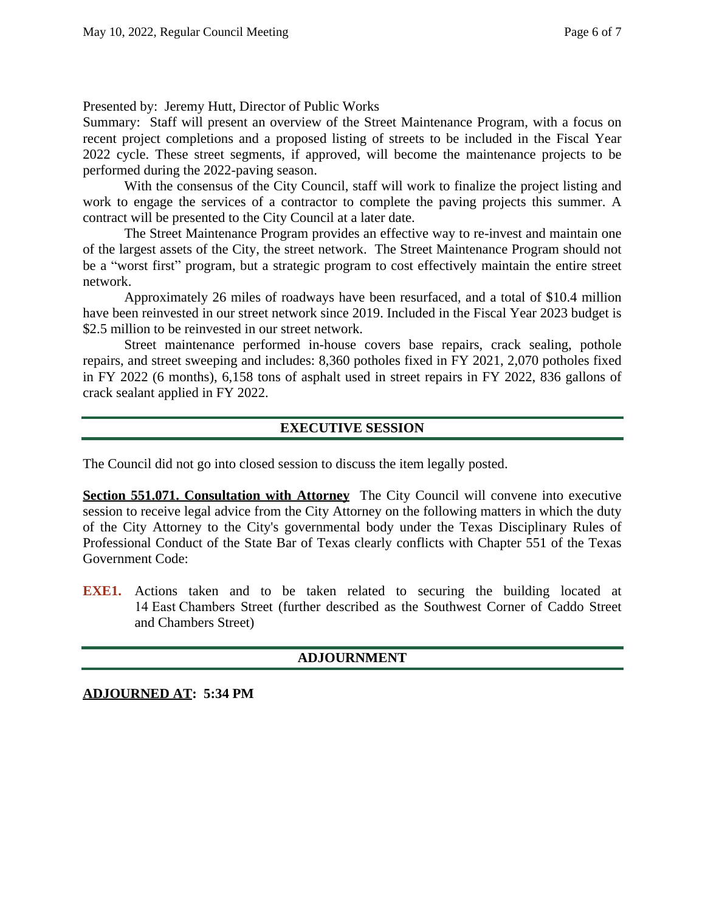Presented by: Jeremy Hutt, Director of Public Works

Summary: Staff will present an overview of the Street Maintenance Program, with a focus on recent project completions and a proposed listing of streets to be included in the Fiscal Year 2022 cycle. These street segments, if approved, will become the maintenance projects to be performed during the 2022-paving season.

With the consensus of the City Council, staff will work to finalize the project listing and work to engage the services of a contractor to complete the paving projects this summer. A contract will be presented to the City Council at a later date.

The Street Maintenance Program provides an effective way to re-invest and maintain one of the largest assets of the City, the street network. The Street Maintenance Program should not be a "worst first" program, but a strategic program to cost effectively maintain the entire street network.

Approximately 26 miles of roadways have been resurfaced, and a total of \$10.4 million have been reinvested in our street network since 2019. Included in the Fiscal Year 2023 budget is \$2.5 million to be reinvested in our street network.

Street maintenance performed in-house covers base repairs, crack sealing, pothole repairs, and street sweeping and includes: 8,360 potholes fixed in FY 2021, 2,070 potholes fixed in FY 2022 (6 months), 6,158 tons of asphalt used in street repairs in FY 2022, 836 gallons of crack sealant applied in FY 2022.

## **EXECUTIVE SESSION**

The Council did not go into closed session to discuss the item legally posted.

**Section 551.071. Consultation with Attorney** The City Council will convene into executive session to receive legal advice from the City Attorney on the following matters in which the duty of the City Attorney to the City's governmental body under the Texas Disciplinary Rules of Professional Conduct of the State Bar of Texas clearly conflicts with Chapter 551 of the Texas Government Code:

**EXE1.** Actions taken and to be taken related to securing the building located at 14 East Chambers Street (further described as the Southwest Corner of Caddo Street and Chambers Street)

## **ADJOURNMENT**

**ADJOURNED AT: 5:34 PM**